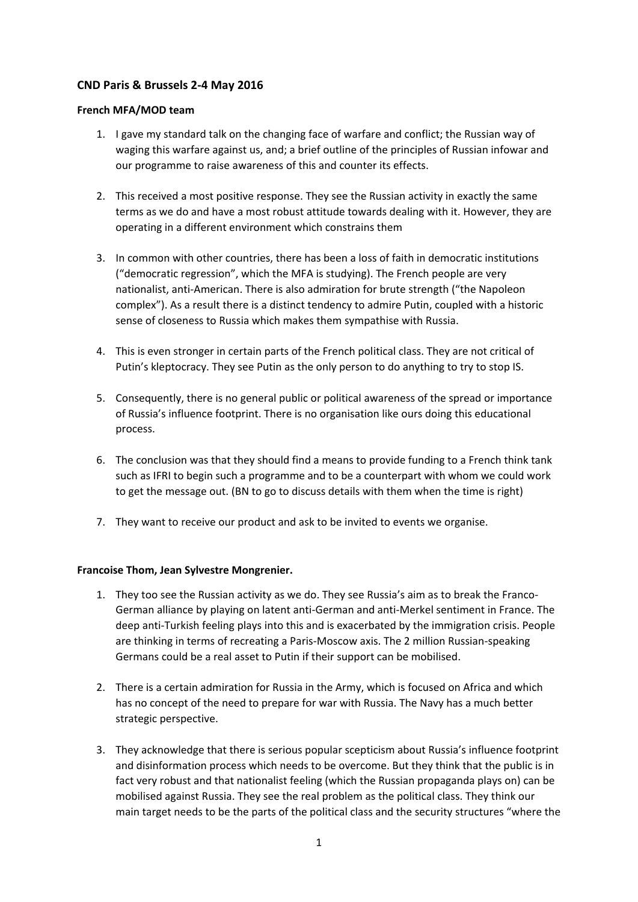# **CND Paris & Brussels 2-4 May 2016**

## **French MFA/MOD team**

- 1. I gave my standard talk on the changing face of warfare and conflict; the Russian way of waging this warfare against us, and; a brief outline of the principles of Russian infowar and our programme to raise awareness of this and counter its effects.
- 2. This received a most positive response. They see the Russian activity in exactly the same terms as we do and have a most robust attitude towards dealing with it. However, they are operating in a different environment which constrains them
- 3. In common with other countries, there has been a loss of faith in democratic institutions ("democratic regression", which the MFA is studying). The French people are very nationalist, anti-American. There is also admiration for brute strength ("the Napoleon complex"). As a result there is a distinct tendency to admire Putin, coupled with a historic sense of closeness to Russia which makes them sympathise with Russia.
- 4. This is even stronger in certain parts of the French political class. They are not critical of Putin's kleptocracy. They see Putin as the only person to do anything to try to stop IS.
- 5. Consequently, there is no general public or political awareness of the spread or importance of Russia's influence footprint. There is no organisation like ours doing this educational process.
- 6. The conclusion was that they should find a means to provide funding to a French think tank such as IFRI to begin such a programme and to be a counterpart with whom we could work to get the message out. (BN to go to discuss details with them when the time is right)
- 7. They want to receive our product and ask to be invited to events we organise.

## **Francoise Thom, Jean Sylvestre Mongrenier.**

- 1. They too see the Russian activity as we do. They see Russia's aim as to break the Franco-German alliance by playing on latent anti-German and anti-Merkel sentiment in France. The deep anti-Turkish feeling plays into this and is exacerbated by the immigration crisis. People are thinking in terms of recreating a Paris-Moscow axis. The 2 million Russian-speaking Germans could be a real asset to Putin if their support can be mobilised.
- 2. There is a certain admiration for Russia in the Army, which is focused on Africa and which has no concept of the need to prepare for war with Russia. The Navy has a much better strategic perspective.
- 3. They acknowledge that there is serious popular scepticism about Russia's influence footprint and disinformation process which needs to be overcome. But they think that the public is in fact very robust and that nationalist feeling (which the Russian propaganda plays on) can be mobilised against Russia. They see the real problem as the political class. They think our main target needs to be the parts of the political class and the security structures "where the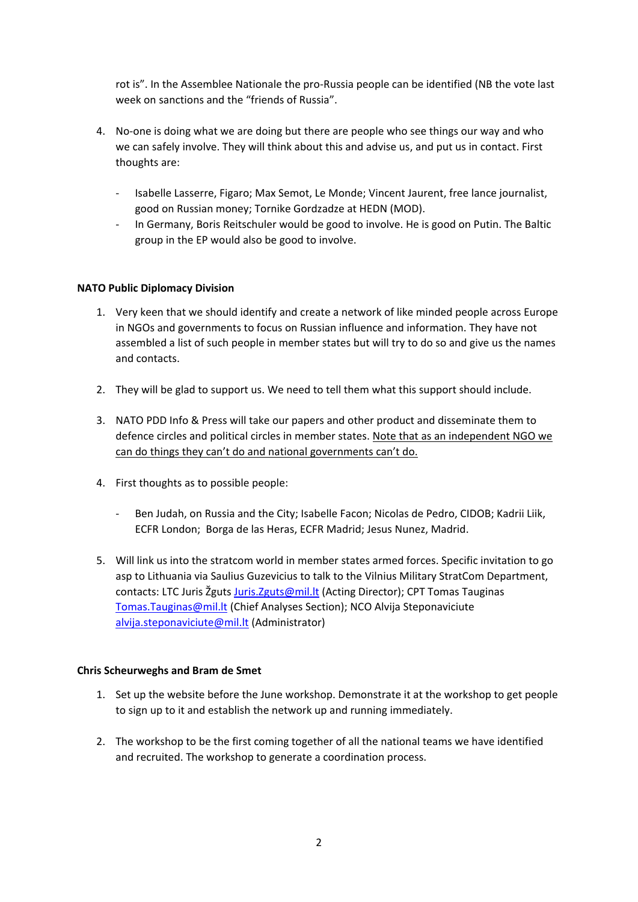rot is". In the Assemblee Nationale the pro-Russia people can be identified (NB the vote last week on sanctions and the "friends of Russia".

- 4. No-one is doing what we are doing but there are people who see things our way and who we can safely involve. They will think about this and advise us, and put us in contact. First thoughts are:
	- Isabelle Lasserre, Figaro; Max Semot, Le Monde; Vincent Jaurent, free lance journalist, good on Russian money; Tornike Gordzadze at HEDN (MOD).
	- In Germany, Boris Reitschuler would be good to involve. He is good on Putin. The Baltic group in the EP would also be good to involve.

#### **NATO Public Diplomacy Division**

- 1. Very keen that we should identify and create a network of like minded people across Europe in NGOs and governments to focus on Russian influence and information. They have not assembled a list of such people in member states but will try to do so and give us the names and contacts.
- 2. They will be glad to support us. We need to tell them what this support should include.
- 3. NATO PDD Info & Press will take our papers and other product and disseminate them to defence circles and political circles in member states. Note that as an independent NGO we can do things they can't do and national governments can't do.
- 4. First thoughts as to possible people:
	- Ben Judah, on Russia and the City; Isabelle Facon; Nicolas de Pedro, CIDOB; Kadrii Liik, ECFR London; Borga de las Heras, ECFR Madrid; Jesus Nunez, Madrid.
- 5. Will link us into the stratcom world in member states armed forces. Specific invitation to go asp to Lithuania via Saulius Guzevicius to talk to the Vilnius Military StratCom Department, contacts: LTC Juris Žguts [Juris.Zguts@mil.lt](mailto:Juris.Zguts@mil.lt) (Acting Director); CPT Tomas Tauginas [Tomas.Tauginas@mil.lt](mailto:Tomas.Tauginas@mil.lt) (Chief Analyses Section); NCO Alvija Steponaviciute [alvija.steponaviciute@mil.lt](mailto:alvija.steponaviciute@mil.lt) (Administrator)

#### **Chris Scheurweghs and Bram de Smet**

- 1. Set up the website before the June workshop. Demonstrate it at the workshop to get people to sign up to it and establish the network up and running immediately.
- 2. The workshop to be the first coming together of all the national teams we have identified and recruited. The workshop to generate a coordination process.